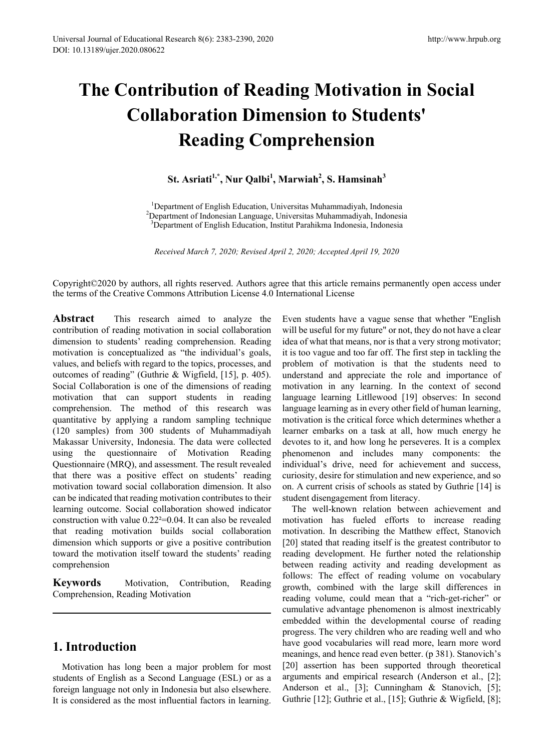# **The Contribution of Reading Motivation in Social Collaboration Dimension to Students' Reading Comprehension**

**St. Asriati1,\*, Nur Qalbi<sup>1</sup> , Marwiah<sup>2</sup> , S. Hamsinah<sup>3</sup>**

<sup>1</sup>Department of English Education, Universitas Muhammadiyah, Indonesia  $^{1}$ Department of English Education, Universitas Muhammadiyah, Indonesia<br><sup>2</sup>Department of Indonesian Language, Universitas Muhammadiyah, Indonesi Department of Indonesian Language, Universitas Muhammadiyah, Indonesia<br><sup>3</sup>Department of English Education, Institut Parabikma Indonesia, Indonesia <sup>3</sup>Department of English Education, Institut Parahikma Indonesia, Indonesia

*Received March 7, 2020; Revised April 2, 2020; Accepted April 19, 2020*

Copyright©2020 by authors, all rights reserved. Authors agree that this article remains permanently open access under the terms of the Creative Commons Attribution License 4.0 International License

**Abstract** This research aimed to analyze the contribution of reading motivation in social collaboration dimension to students' reading comprehension. Reading motivation is conceptualized as "the individual's goals, values, and beliefs with regard to the topics, processes, and outcomes of reading" (Guthrie & Wigfield, [15], p. 405). Social Collaboration is one of the dimensions of reading motivation that can support students in reading comprehension. The method of this research was quantitative by applying a random sampling technique (120 samples) from 300 students of Muhammadiyah Makassar University, Indonesia. The data were collected using the questionnaire of Motivation Reading Questionnaire (MRQ), and assessment. The result revealed that there was a positive effect on students' reading motivation toward social collaboration dimension. It also can be indicated that reading motivation contributes to their learning outcome. Social collaboration showed indicator construction with value 0.22²=0.04. It can also be revealed that reading motivation builds social collaboration dimension which supports or give a positive contribution toward the motivation itself toward the students' reading comprehension

**Keywords** Motivation, Contribution, Reading Comprehension, Reading Motivation

# **1. Introduction**

Motivation has long been a major problem for most students of English as a Second Language (ESL) or as a foreign language not only in Indonesia but also elsewhere. It is considered as the most influential factors in learning.

Even students have a vague sense that whether "English will be useful for my future" or not, they do not have a clear idea of what that means, nor is that a very strong motivator; it is too vague and too far off. The first step in tackling the problem of motivation is that the students need to understand and appreciate the role and importance of motivation in any learning. In the context of second language learning Litllewood [19] observes: In second language learning as in every other field of human learning, motivation is the critical force which determines whether a learner embarks on a task at all, how much energy he devotes to it, and how long he perseveres. It is a complex phenomenon and includes many components: the individual's drive, need for achievement and success, curiosity, desire for stimulation and new experience, and so on. A current crisis of schools as stated by Guthrie [14] is student disengagement from literacy.

The well-known relation between achievement and motivation has fueled efforts to increase reading motivation. In describing the Matthew effect, Stanovich [20] stated that reading itself is the greatest contributor to reading development. He further noted the relationship between reading activity and reading development as follows: The effect of reading volume on vocabulary growth, combined with the large skill differences in reading volume, could mean that a "rich-get-richer" or cumulative advantage phenomenon is almost inextricably embedded within the developmental course of reading progress. The very children who are reading well and who have good vocabularies will read more, learn more word meanings, and hence read even better. (p 381). Stanovich's [20] assertion has been supported through theoretical arguments and empirical research (Anderson et al., [2]; Anderson et al., [3]; Cunningham & Stanovich, [5]; Guthrie [12]; Guthrie et al., [15]; Guthrie & Wigfield, [8];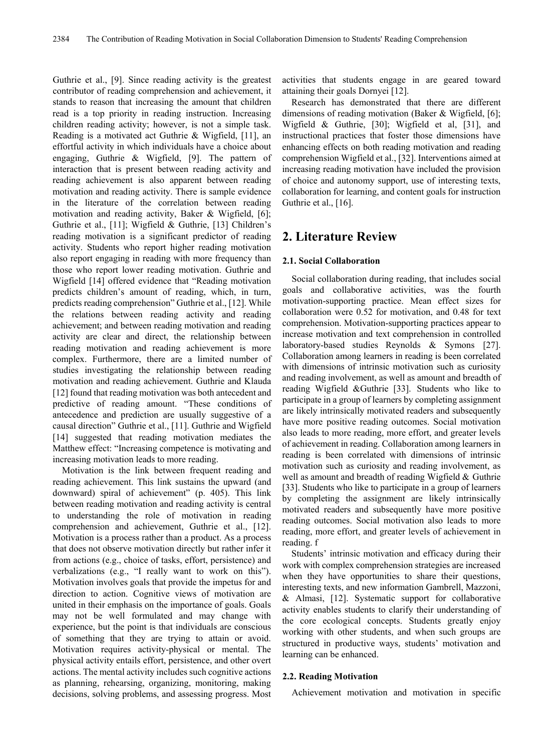Guthrie et al., [9]. Since reading activity is the greatest contributor of reading comprehension and achievement, it stands to reason that increasing the amount that children read is a top priority in reading instruction. Increasing children reading activity; however, is not a simple task. Reading is a motivated act Guthrie & Wigfield, [11], an effortful activity in which individuals have a choice about engaging, Guthrie & Wigfield, [9]. The pattern of interaction that is present between reading activity and reading achievement is also apparent between reading motivation and reading activity. There is sample evidence in the literature of the correlation between reading motivation and reading activity, Baker & Wigfield, [6]; Guthrie et al., [11]; Wigfield & Guthrie, [13] Children's reading motivation is a significant predictor of reading activity. Students who report higher reading motivation also report engaging in reading with more frequency than those who report lower reading motivation. Guthrie and Wigfield [14] offered evidence that "Reading motivation predicts children's amount of reading, which, in turn, predicts reading comprehension" Guthrie et al., [12]. While the relations between reading activity and reading achievement; and between reading motivation and reading activity are clear and direct, the relationship between reading motivation and reading achievement is more complex. Furthermore, there are a limited number of studies investigating the relationship between reading motivation and reading achievement. Guthrie and Klauda [12] found that reading motivation was both antecedent and predictive of reading amount. "These conditions of antecedence and prediction are usually suggestive of a causal direction" Guthrie et al., [11]. Guthrie and Wigfield [14] suggested that reading motivation mediates the Matthew effect: "Increasing competence is motivating and increasing motivation leads to more reading.

Motivation is the link between frequent reading and reading achievement. This link sustains the upward (and downward) spiral of achievement" (p. 405). This link between reading motivation and reading activity is central to understanding the role of motivation in reading comprehension and achievement, Guthrie et al., [12]. Motivation is a process rather than a product. As a process that does not observe motivation directly but rather infer it from actions (e.g., choice of tasks, effort, persistence) and verbalizations (e.g., "I really want to work on this"). Motivation involves goals that provide the impetus for and direction to action. Cognitive views of motivation are united in their emphasis on the importance of goals. Goals may not be well formulated and may change with experience, but the point is that individuals are conscious of something that they are trying to attain or avoid. Motivation requires activity-physical or mental. The physical activity entails effort, persistence, and other overt actions. The mental activity includes such cognitive actions as planning, rehearsing, organizing, monitoring, making decisions, solving problems, and assessing progress. Most

activities that students engage in are geared toward attaining their goals Dornyei [12].

Research has demonstrated that there are different dimensions of reading motivation (Baker & Wigfield, [6]; Wigfield & Guthrie, [30]; Wigfield et al, [31], and instructional practices that foster those dimensions have enhancing effects on both reading motivation and reading comprehension Wigfield et al., [32]. Interventions aimed at increasing reading motivation have included the provision of choice and autonomy support, use of interesting texts, collaboration for learning, and content goals for instruction Guthrie et al., [16].

## **2. Literature Review**

#### **2.1. Social Collaboration**

Social collaboration during reading, that includes social goals and collaborative activities, was the fourth motivation-supporting practice. Mean effect sizes for collaboration were 0.52 for motivation, and 0.48 for text comprehension. Motivation-supporting practices appear to increase motivation and text comprehension in controlled laboratory-based studies Reynolds & Symons [27]. Collaboration among learners in reading is been correlated with dimensions of intrinsic motivation such as curiosity and reading involvement, as well as amount and breadth of reading Wigfield &Guthrie [33]. Students who like to participate in a group of learners by completing assignment are likely intrinsically motivated readers and subsequently have more positive reading outcomes. Social motivation also leads to more reading, more effort, and greater levels of achievement in reading. Collaboration among learners in reading is been correlated with dimensions of intrinsic motivation such as curiosity and reading involvement, as well as amount and breadth of reading Wigfield & Guthrie [33]. Students who like to participate in a group of learners by completing the assignment are likely intrinsically motivated readers and subsequently have more positive reading outcomes. Social motivation also leads to more reading, more effort, and greater levels of achievement in reading. f

Students' intrinsic motivation and efficacy during their work with complex comprehension strategies are increased when they have opportunities to share their questions, interesting texts, and new information Gambrell, Mazzoni, & Almasi, [12]. Systematic support for collaborative activity enables students to clarify their understanding of the core ecological concepts. Students greatly enjoy working with other students, and when such groups are structured in productive ways, students' motivation and learning can be enhanced.

#### **2.2. Reading Motivation**

Achievement motivation and motivation in specific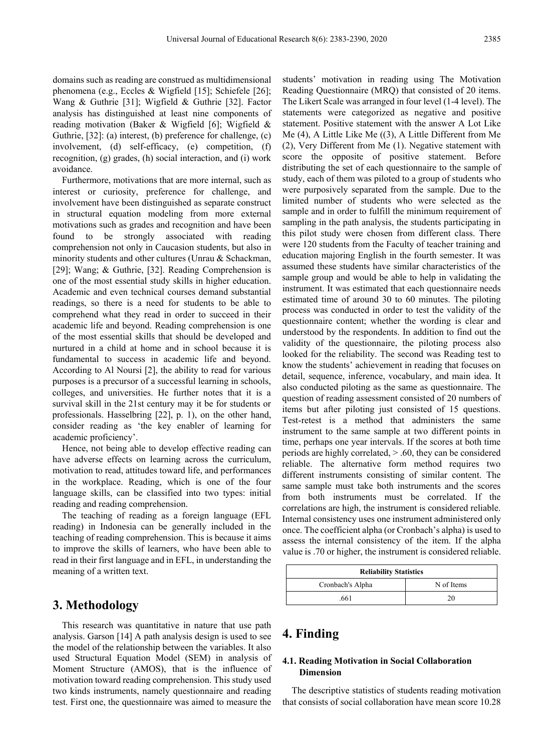domains such as reading are construed as multidimensional phenomena (e.g., Eccles & Wigfield [15]; Schiefele [26]; Wang & Guthrie [31]; Wigfield & Guthrie [32]. Factor analysis has distinguished at least nine components of reading motivation (Baker & Wigfield [6]; Wigfield & Guthrie, [32]: (a) interest, (b) preference for challenge, (c) involvement, (d) self-efficacy, (e) competition, (f) recognition, (g) grades, (h) social interaction, and (i) work avoidance.

Furthermore, motivations that are more internal, such as interest or curiosity, preference for challenge, and involvement have been distinguished as separate construct in structural equation modeling from more external motivations such as grades and recognition and have been found to be strongly associated with reading comprehension not only in Caucasion students, but also in minority students and other cultures (Unrau & Schackman, [29]; Wang; & Guthrie, [32]. Reading Comprehension is one of the most essential study skills in higher education. Academic and even technical courses demand substantial readings, so there is a need for students to be able to comprehend what they read in order to succeed in their academic life and beyond. Reading comprehension is one of the most essential skills that should be developed and nurtured in a child at home and in school because it is fundamental to success in academic life and beyond. According to Al Noursi [2], the ability to read for various purposes is a precursor of a successful learning in schools, colleges, and universities. He further notes that it is a survival skill in the 21st century may it be for students or professionals. Hasselbring [22], p. 1), on the other hand, consider reading as 'the key enabler of learning for academic proficiency'.

Hence, not being able to develop effective reading can have adverse effects on learning across the curriculum, motivation to read, attitudes toward life, and performances in the workplace. Reading, which is one of the four language skills, can be classified into two types: initial reading and reading comprehension.

The teaching of reading as a foreign language (EFL reading) in Indonesia can be generally included in the teaching of reading comprehension. This is because it aims to improve the skills of learners, who have been able to read in their first language and in EFL, in understanding the meaning of a written text.

## **3. Methodology**

This research was quantitative in nature that use path analysis. Garson [14] A path analysis design is used to see the model of the relationship between the variables. It also used Structural Equation Model (SEM) in analysis of Moment Structure (AMOS), that is the influence of motivation toward reading comprehension. This study used two kinds instruments, namely questionnaire and reading test. First one, the questionnaire was aimed to measure the

students' motivation in reading using The Motivation Reading Questionnaire (MRQ) that consisted of 20 items. The Likert Scale was arranged in four level (1-4 level). The statements were categorized as negative and positive statement. Positive statement with the answer A Lot Like Me (4), A Little Like Me ((3), A Little Different from Me (2), Very Different from Me (1). Negative statement with score the opposite of positive statement. Before distributing the set of each questionnaire to the sample of study, each of them was piloted to a group of students who were purposively separated from the sample. Due to the limited number of students who were selected as the sample and in order to fulfill the minimum requirement of sampling in the path analysis, the students participating in this pilot study were chosen from different class. There were 120 students from the Faculty of teacher training and education majoring English in the fourth semester. It was assumed these students have similar characteristics of the sample group and would be able to help in validating the instrument. It was estimated that each questionnaire needs estimated time of around 30 to 60 minutes. The piloting process was conducted in order to test the validity of the questionnaire content; whether the wording is clear and understood by the respondents. In addition to find out the validity of the questionnaire, the piloting process also looked for the reliability. The second was Reading test to know the students' achievement in reading that focuses on detail, sequence, inference, vocabulary, and main idea. It also conducted piloting as the same as questionnaire. The question of reading assessment consisted of 20 numbers of items but after piloting just consisted of 15 questions. Test-retest is a method that administers the same instrument to the same sample at two different points in time, perhaps one year intervals. If the scores at both time periods are highly correlated, > .60, they can be considered reliable. The alternative form method requires two different instruments consisting of similar content. The same sample must take both instruments and the scores from both instruments must be correlated. If the correlations are high, the instrument is considered reliable. Internal consistency uses one instrument administered only once. The coefficient alpha (or Cronbach's alpha) is used to assess the internal consistency of the item. If the alpha value is .70 or higher, the instrument is considered reliable.

| <b>Reliability Statistics</b> |            |  |  |  |
|-------------------------------|------------|--|--|--|
| Cronbach's Alpha              | N of Items |  |  |  |
| .661                          | 20         |  |  |  |

## **4. Finding**

#### **4.1. Reading Motivation in Social Collaboration Dimension**

The descriptive statistics of students reading motivation that consists of social collaboration have mean score 10.28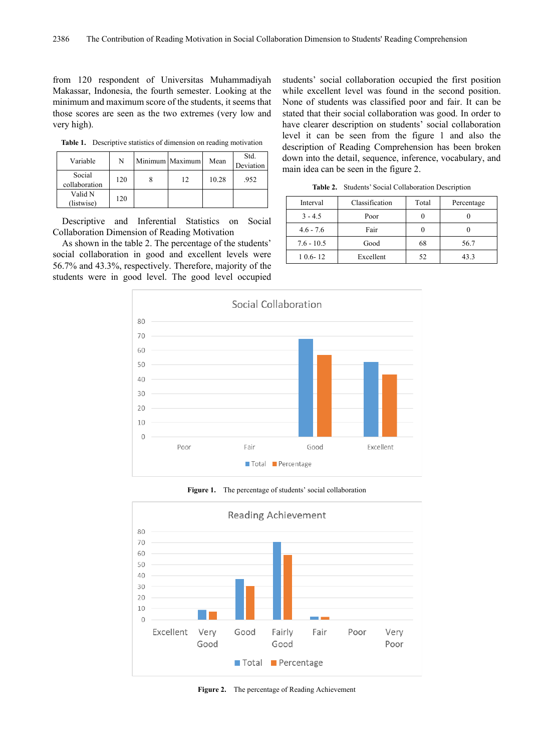from 120 respondent of Universitas Muhammadiyah Makassar, Indonesia, the fourth semester. Looking at the minimum and maximum score of the students, it seems that those scores are seen as the two extremes (very low and very high).

**Table 1.** Descriptive statistics of dimension on reading motivation

| Variable                | N   | Minimum Maximum | Mean  | Std.<br>Deviation |
|-------------------------|-----|-----------------|-------|-------------------|
| Social<br>collaboration | 120 | 12              | 10.28 | .952              |
| Valid N<br>(listwise)   | 120 |                 |       |                   |

Descriptive and Inferential Statistics on Social Collaboration Dimension of Reading Motivation

As shown in the table 2. The percentage of the students' social collaboration in good and excellent levels were 56.7% and 43.3%, respectively. Therefore, majority of the students were in good level. The good level occupied

students' social collaboration occupied the first position while excellent level was found in the second position. None of students was classified poor and fair. It can be stated that their social collaboration was good. In order to have clearer description on students' social collaboration level it can be seen from the figure 1 and also the description of Reading Comprehension has been broken down into the detail, sequence, inference, vocabulary, and main idea can be seen in the figure 2.

**Table 2.** Students' Social Collaboration Description

| Interval     | Classification | Total | Percentage |
|--------------|----------------|-------|------------|
| $3 - 4.5$    | Poor           |       |            |
| $4.6 - 7.6$  | Fair           |       |            |
| $7.6 - 10.5$ | Good           | 68    | 56.7       |
| $10.6 - 12$  | Excellent      | 52    | 43.3       |



**Figure 1.** The percentage of students' social collaboration



**Figure 2.** The percentage of Reading Achievement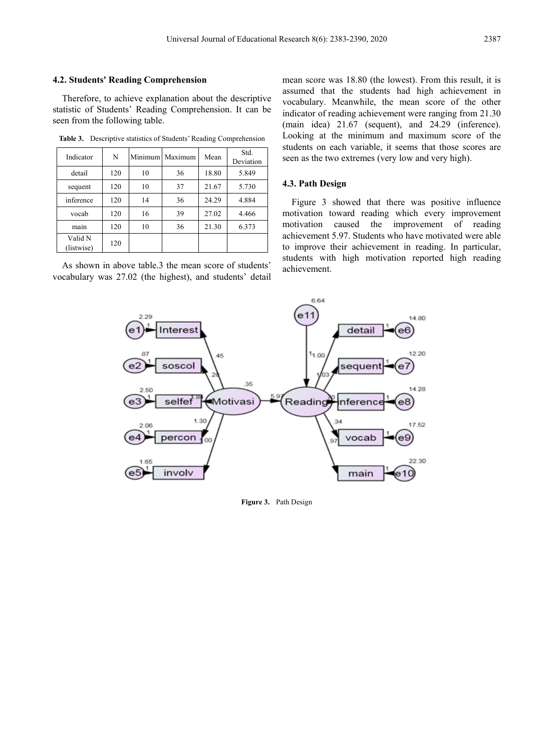#### **4.2. Students' Reading Comprehension**

Therefore, to achieve explanation about the descriptive statistic of Students' Reading Comprehension. It can be seen from the following table.

**Table 3.** Descriptive statistics of Students' Reading Comprehension

| Indicator             | N   | Minimum | Maximum | Mean  | Std.<br>Deviation |  |
|-----------------------|-----|---------|---------|-------|-------------------|--|
| detail                | 120 | 10      | 36      | 18.80 | 5.849             |  |
| sequent               | 120 | 10      | 37      | 21.67 | 5.730             |  |
| inference             | 120 | 14      | 36      | 24.29 | 4.884             |  |
| vocab                 | 120 | 16      | 39      | 27.02 | 4.466             |  |
| main                  | 120 | 10      | 36      | 21.30 | 6.373             |  |
| Valid N<br>(listwise) | 120 |         |         |       |                   |  |

As shown in above table.3 the mean score of students' vocabulary was 27.02 (the highest), and students' detail

indicator of reading achievement were ranging from 21.30 (main idea) 21.67 (sequent), and 24.29 (inference). Looking at the minimum and maximum score of the students on each variable, it seems that those scores are seen as the two extremes (very low and very high).

#### **4.3. Path Design**

Figure 3 showed that there was positive influence motivation toward reading which every improvement motivation caused the improvement of reading achievement 5.97. Students who have motivated were able to improve their achievement in reading. In particular, students with high motivation reported high reading achievement.

mean score was 18.80 (the lowest). From this result, it is assumed that the students had high achievement in vocabulary. Meanwhile, the mean score of the other



**Figure 3.** Path Design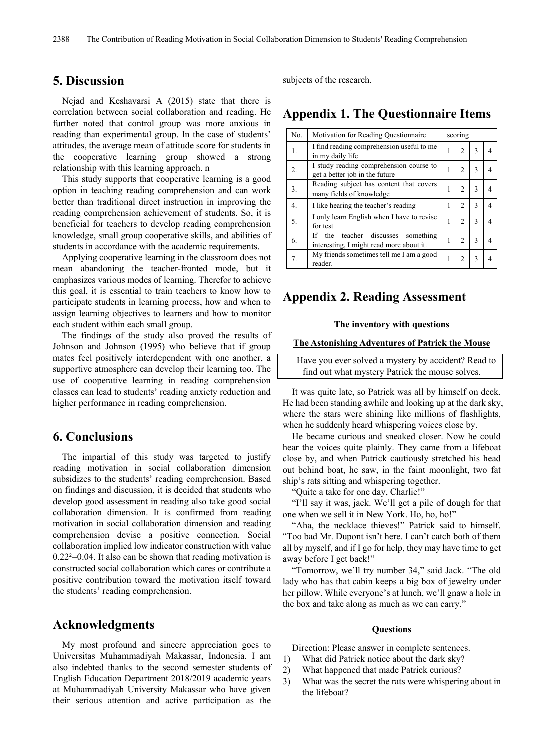## **5. Discussion**

Nejad and Keshavarsi A (2015) state that there is correlation between social collaboration and reading. He further noted that control group was more anxious in reading than experimental group. In the case of students' attitudes, the average mean of attitude score for students in the cooperative learning group showed a strong relationship with this learning approach. n

This study supports that cooperative learning is a good option in teaching reading comprehension and can work better than traditional direct instruction in improving the reading comprehension achievement of students. So, it is beneficial for teachers to develop reading comprehension knowledge, small group cooperative skills, and abilities of students in accordance with the academic requirements.

Applying cooperative learning in the classroom does not mean abandoning the teacher-fronted mode, but it emphasizes various modes of learning. Therefor to achieve this goal, it is essential to train teachers to know how to participate students in learning process, how and when to assign learning objectives to learners and how to monitor each student within each small group.

The findings of the study also proved the results of Johnson and Johnson (1995) who believe that if group mates feel positively interdependent with one another, a supportive atmosphere can develop their learning too. The use of cooperative learning in reading comprehension classes can lead to students' reading anxiety reduction and higher performance in reading comprehension.

## **6. Conclusions**

The impartial of this study was targeted to justify reading motivation in social collaboration dimension subsidizes to the students' reading comprehension. Based on findings and discussion, it is decided that students who develop good assessment in reading also take good social collaboration dimension. It is confirmed from reading motivation in social collaboration dimension and reading comprehension devise a positive connection. Social collaboration implied low indicator construction with value  $0.22<sup>2</sup>=0.04$ . It also can be shown that reading motivation is constructed social collaboration which cares or contribute a positive contribution toward the motivation itself toward the students' reading comprehension.

## **Acknowledgments**

My most profound and sincere appreciation goes to Universitas Muhammadiyah Makassar, Indonesia. I am also indebted thanks to the second semester students of English Education Department 2018/2019 academic years at Muhammadiyah University Makassar who have given their serious attention and active participation as the

subjects of the research.

# **Appendix 1. The Questionnaire Items**

| No. | Motivation for Reading Questionnaire                                                 | scoring |                |   |   |
|-----|--------------------------------------------------------------------------------------|---------|----------------|---|---|
| 1.  | I find reading comprehension useful to me<br>in my daily life                        | 1       | $\mathfrak{D}$ | 3 | 4 |
| 2.  | I study reading comprehension course to<br>get a better job in the future            | 1       | $\mathfrak{D}$ | 3 | 4 |
| 3.  | Reading subject has content that covers<br>many fields of knowledge                  |         |                | 3 | 4 |
| 4.  | I like hearing the teacher's reading                                                 | 1       | $\mathfrak{D}$ | 3 | 4 |
| 5.  | I only learn English when I have to revise<br>for test                               | 1       | $\overline{c}$ | 3 | 4 |
| 6.  | the teacher discusses<br>something<br>If<br>interesting. I might read more about it. | 1       | $\mathfrak{D}$ | 3 | 4 |
| 7.  | My friends sometimes tell me I am a good<br>reader.                                  | 1       | 2              | 3 | 4 |

## **Appendix 2. Reading Assessment**

#### **The inventory with questions**

#### **The Astonishing Adventures of Patrick the Mouse**

Have you ever solved a mystery by accident? Read to find out what mystery Patrick the mouse solves.

It was quite late, so Patrick was all by himself on deck. He had been standing awhile and looking up at the dark sky, where the stars were shining like millions of flashlights, when he suddenly heard whispering voices close by.

He became curious and sneaked closer. Now he could hear the voices quite plainly. They came from a lifeboat close by, and when Patrick cautiously stretched his head out behind boat, he saw, in the faint moonlight, two fat ship's rats sitting and whispering together.

"Quite a take for one day, Charlie!"

"I'll say it was, jack. We'll get a pile of dough for that one when we sell it in New York. Ho, ho, ho!"

"Aha, the necklace thieves!" Patrick said to himself. "Too bad Mr. Dupont isn't here. I can't catch both of them all by myself, and if I go for help, they may have time to get away before I get back!"

"Tomorrow, we'll try number 34," said Jack. "The old lady who has that cabin keeps a big box of jewelry under her pillow. While everyone's at lunch, we'll gnaw a hole in the box and take along as much as we can carry."

#### **Questions**

Direction: Please answer in complete sentences.

- 1) What did Patrick notice about the dark sky?
- 2) What happened that made Patrick curious?
- 3) What was the secret the rats were whispering about in the lifeboat?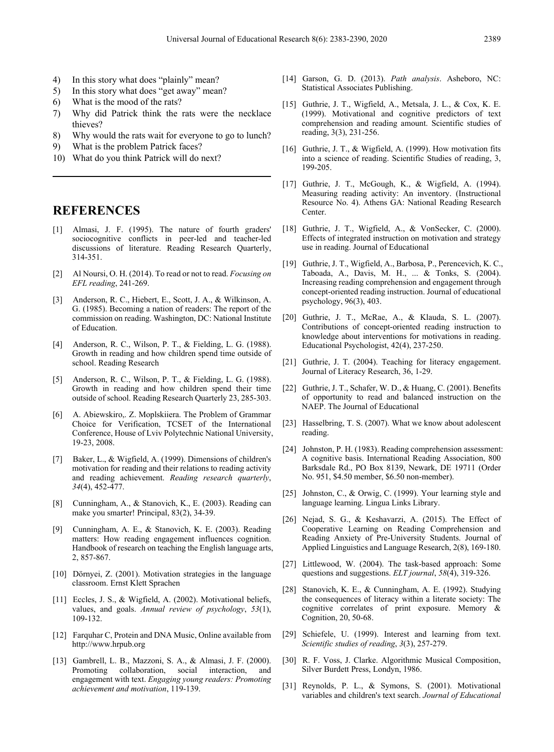- 4) In this story what does "plainly" mean?
- 5) In this story what does "get away" mean?
- 6) What is the mood of the rats?
- 7) Why did Patrick think the rats were the necklace thieves?
- 8) Why would the rats wait for everyone to go to lunch?
- 9) What is the problem Patrick faces?
- 10) What do you think Patrick will do next?

## **REFERENCES**

- [1] Almasi, J. F. (1995). The nature of fourth graders' sociocognitive conflicts in peer-led and teacher-led discussions of literature. Reading Research Quarterly, 314-351.
- [2] Al Noursi, O. H. (2014). To read or not to read. *Focusing on EFL reading*, 241-269.
- [3] Anderson, R. C., Hiebert, E., Scott, J. A., & Wilkinson, A. G. (1985). Becoming a nation of readers: The report of the commission on reading. Washington, DC: National Institute of Education.
- [4] Anderson, R. C., Wilson, P. T., & Fielding, L. G. (1988). Growth in reading and how children spend time outside of school. Reading Research
- [5] Anderson, R. C., Wilson, P. T., & Fielding, L. G. (1988). Growth in reading and how children spend their time outside of school. Reading Research Quarterly 23, 285-303.
- [6] A. Abiewskiro,. Z. Moplskiiera. The Problem of Grammar Choice for Verification, TCSET of the International Conference, House of Lviv Polytechnic National University, 19-23, 2008.
- [7] Baker, L., & Wigfield, A. (1999). Dimensions of children's motivation for reading and their relations to reading activity and reading achievement. *Reading research quarterly*, *34*(4), 452-477.
- [8] Cunningham, A., & Stanovich, K., E. (2003). Reading can make you smarter! Principal, 83(2), 34-39.
- [9] Cunningham, A. E., & Stanovich, K. E. (2003). Reading matters: How reading engagement influences cognition. Handbook of research on teaching the English language arts, 2, 857-867.
- [10] Dörnyei, Z. (2001). Motivation strategies in the language classroom. Ernst Klett Sprachen
- [11] Eccles, J. S., & Wigfield, A. (2002). Motivational beliefs, values, and goals. *Annual review of psychology*, *53*(1), 109-132.
- [12] Farquhar C, Protein and DNA Music, Online available from [http://www.hrpub.org](http://www.hrpub.org/)
- [13] Gambrell, L. B., Mazzoni, S. A., & Almasi, J. F. (2000). Promoting collaboration, social interaction, and engagement with text. *Engaging young readers: Promoting achievement and motivation*, 119-139.
- [14] Garson, G. D. (2013). *Path analysis*. Asheboro, NC: Statistical Associates Publishing.
- [15] Guthrie, J. T., Wigfield, A., Metsala, J. L., & Cox, K. E. (1999). Motivational and cognitive predictors of text comprehension and reading amount. Scientific studies of reading, 3(3), 231-256.
- [16] Guthrie, J. T., & Wigfield, A. (1999). How motivation fits into a science of reading. Scientific Studies of reading, 3, 199-205.
- [17] Guthrie, J. T., McGough, K., & Wigfield, A. (1994). Measuring reading activity: An inventory. (Instructional Resource No. 4). Athens GA: National Reading Research Center.
- [18] Guthrie, J. T., Wigfield, A., & VonSecker, C. (2000). Effects of integrated instruction on motivation and strategy use in reading. Journal of Educational
- [19] Guthrie, J. T., Wigfield, A., Barbosa, P., Perencevich, K. C., Taboada, A., Davis, M. H., ... & Tonks, S. (2004). Increasing reading comprehension and engagement through concept-oriented reading instruction. Journal of educational psychology, 96(3), 403.
- [20] Guthrie, J. T., McRae, A., & Klauda, S. L. (2007). Contributions of concept-oriented reading instruction to knowledge about interventions for motivations in reading. Educational Psychologist, 42(4), 237-250.
- [21] Guthrie, J. T. (2004). Teaching for literacy engagement. Journal of Literacy Research, 36, 1-29.
- [22] Guthrie, J. T., Schafer, W. D., & Huang, C. (2001). Benefits of opportunity to read and balanced instruction on the NAEP. The Journal of Educational
- [23] Hasselbring, T. S. (2007). What we know about adolescent reading.
- [24] Johnston, P. H. (1983). Reading comprehension assessment: A cognitive basis. International Reading Association, 800 Barksdale Rd., PO Box 8139, Newark, DE 19711 (Order No. 951, \$4.50 member, \$6.50 non-member).
- [25] Johnston, C., & Orwig, C. (1999). Your learning style and language learning. Lingua Links Library.
- [26] Nejad, S. G., & Keshavarzi, A. (2015). The Effect of Cooperative Learning on Reading Comprehension and Reading Anxiety of Pre-University Students. Journal of Applied Linguistics and Language Research, 2(8), 169-180.
- [27] Littlewood, W. (2004). The task-based approach: Some questions and suggestions. *ELT journal*, *58*(4), 319-326.
- [28] Stanovich, K. E., & Cunningham, A. E. (1992). Studying the consequences of literacy within a literate society: The cognitive correlates of print exposure. Memory & Cognition, 20, 50-68.
- [29] Schiefele, U. (1999). Interest and learning from text. *Scientific studies of reading*, *3*(3), 257-279.
- [30] R. F. Voss, J. Clarke. Algorithmic Musical Composition, Silver Burdett Press, Londyn, 1986.
- [31] Reynolds, P. L., & Symons, S. (2001). Motivational variables and children's text search. *Journal of Educational*